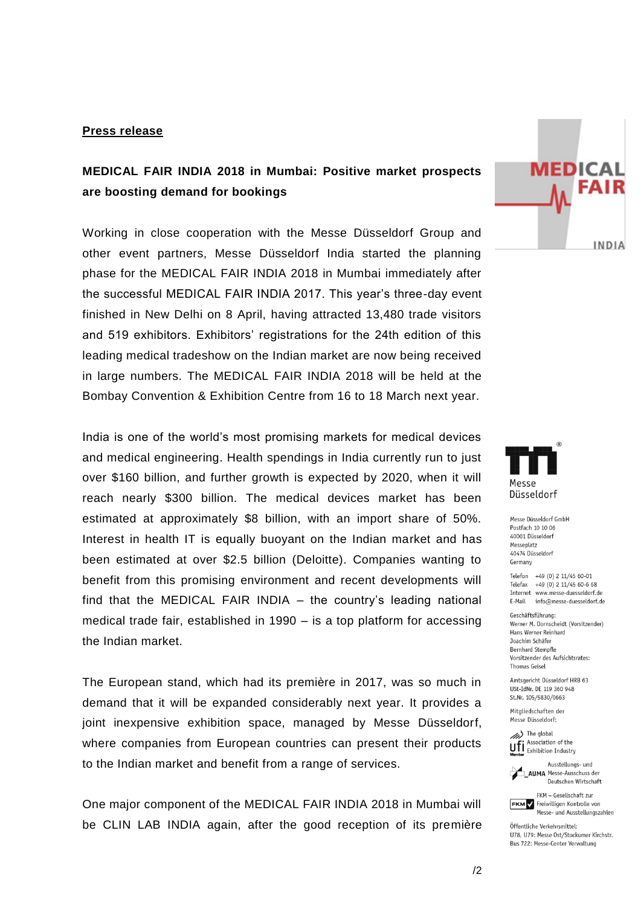## **Press release**

## **MEDICAL FAIR INDIA 2018 in Mumbai: Positive market prospects are boosting demand for bookings**

Working in close cooperation with the Messe Düsseldorf Group and other event partners, Messe Düsseldorf India started the planning phase for the MEDICAL FAIR INDIA 2018 in Mumbai immediately after the successful MEDICAL FAIR INDIA 2017. This year's three-day event finished in New Delhi on 8 April, having attracted 13,480 trade visitors and 519 exhibitors. Exhibitors' registrations for the 24th edition of this leading medical tradeshow on the Indian market are now being received in large numbers. The MEDICAL FAIR INDIA 2018 will be held at the Bombay Convention & Exhibition Centre from 16 to 18 March next year.

India is one of the world's most promising markets for medical devices and medical engineering. Health spendings in India currently run to just over \$160 billion, and further growth is expected by 2020, when it will reach nearly \$300 billion. The medical devices market has been estimated at approximately \$8 billion, with an import share of 50%. Interest in health IT is equally buoyant on the Indian market and has been estimated at over \$2.5 billion (Deloitte). Companies wanting to benefit from this promising environment and recent developments will find that the MEDICAL FAIR INDIA – the country's leading national medical trade fair, established in 1990 – is a top platform for accessing the Indian market.

The European stand, which had its première in 2017, was so much in demand that it will be expanded considerably next year. It provides a joint inexpensive exhibition space, managed by Messe Düsseldorf, where companies from European countries can present their products to the Indian market and benefit from a range of services.

One major component of the MEDICAL FAIR INDIA 2018 in Mumbai will be CLIN LAB INDIA again, after the good reception of its première





Messe Düsseldorf GmbH Postfach 10 10 06 40001 Diisseldorf Messeplatz 40474 Düsseldorf Germany

Telefon +49 (0) 2 11/45 60-01 Telefax +49 (0) 2 11/45 60-6 68 Internet www.messe-duesseldorf.de E-Mail info@messe-duesseldorf.de

Geschäftsführung: Werner M. Dornscheidt (Vorsitzender) Hans Werner Reinhard Joachim Schäfer Bernhard Stempfle Vorsitzender des Aufsichtsrates: **Thomas Geisel** 

Amtsgericht Düsseldorf HRB 63 USt-IdNr. DE 119 360 948 St.Nr. 105/5830/0663

Mitaliedschaften der Messe Düsseldorf:

(b) The global Uff Association of the



Deutschen Wirtschaft FKM - Gesellschaft zur

**FKM** / Freiwilligen Kontrolle von Messe- und Ausstellungszahlen

Öffentliche Verkehrsmittel: 1178 1179: Messe Ost/Stockumer Kirchstr. Bus 722: Messe-Center Verwaltung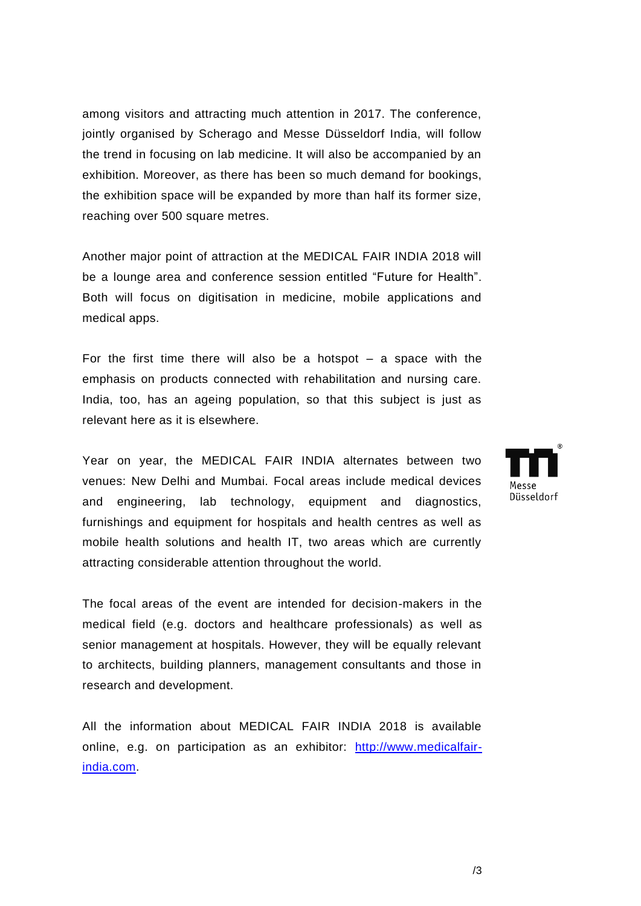among visitors and attracting much attention in 2017. The conference, jointly organised by Scherago and Messe Düsseldorf India, will follow the trend in focusing on lab medicine. It will also be accompanied by an exhibition. Moreover, as there has been so much demand for bookings, the exhibition space will be expanded by more than half its former size, reaching over 500 square metres.

Another major point of attraction at the MEDICAL FAIR INDIA 2018 will be a lounge area and conference session entitled "Future for Health". Both will focus on digitisation in medicine, mobile applications and medical apps.

For the first time there will also be a hotspot  $-$  a space with the emphasis on products connected with rehabilitation and nursing care. India, too, has an ageing population, so that this subject is just as relevant here as it is elsewhere.

Year on year, the MEDICAL FAIR INDIA alternates between two venues: New Delhi and Mumbai. Focal areas include medical devices and engineering, lab technology, equipment and diagnostics, furnishings and equipment for hospitals and health centres as well as mobile health solutions and health IT, two areas which are currently attracting considerable attention throughout the world.

The focal areas of the event are intended for decision-makers in the medical field (e.g. doctors and healthcare professionals) as well as senior management at hospitals. However, they will be equally relevant to architects, building planners, management consultants and those in research and development.

All the information about MEDICAL FAIR INDIA 2018 is available online, e.g. on participation as an exhibitor: [http://www.medicalfair](http://www.medicalfair-india.com/)[india.com.](http://www.medicalfair-india.com/)